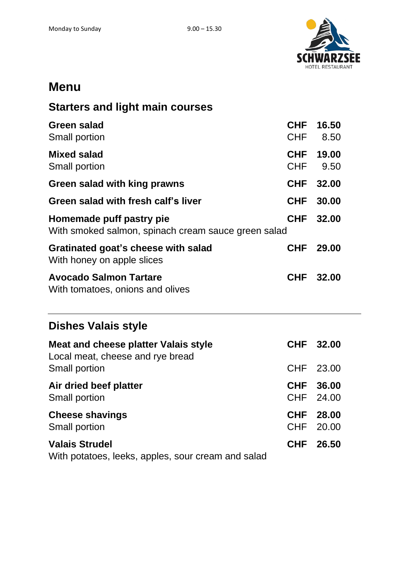

## **Menu**

## **Starters and light main courses**

| <b>Green salad</b><br>Small portion                                             | <b>CHF</b><br><b>CHF</b> | 16.50<br>8.50  |
|---------------------------------------------------------------------------------|--------------------------|----------------|
| <b>Mixed salad</b><br>Small portion                                             | CHF<br><b>CHF</b>        | 19.00<br>9.50  |
| Green salad with king prawns                                                    | <b>CHF</b>               | 32.00          |
| Green salad with fresh calf's liver                                             | <b>CHF</b>               | 30.00          |
| Homemade puff pastry pie<br>With smoked salmon, spinach cream sauce green salad | <b>CHF</b>               | 32.00          |
| Gratinated goat's cheese with salad<br>With honey on apple slices               | <b>CHF</b>               | 29.00          |
| <b>Avocado Salmon Tartare</b><br>With tomatoes, onions and olives               | <b>CHF</b>               | 32.00          |
| <b>Dishes Valais style</b>                                                      |                          |                |
| <b>Meat and cheese platter Valais style</b><br>Local meat, cheese and rye bread | <b>CHF</b>               | 32.00          |
| Small portion                                                                   | <b>CHF</b>               | 23.00          |
| Air dried beef platter<br>Small portion                                         | <b>CHF</b><br><b>CHF</b> | 36.00<br>24.00 |
| <b>Cheese shavings</b><br>Small portion                                         | <b>CHF</b><br><b>CHF</b> | 28.00<br>20.00 |
| <b>Valais Strudel</b>                                                           | <b>CHF</b>               | 26.50          |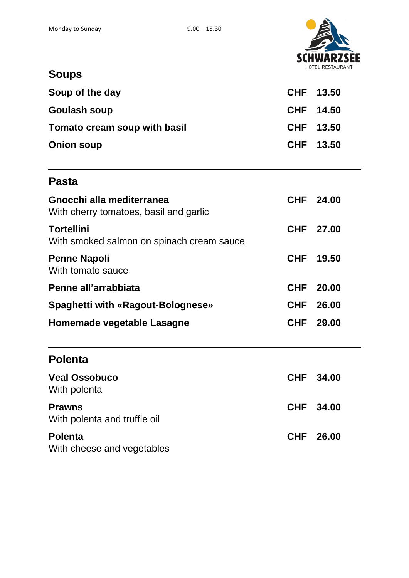

# **Soups**

| Soup of the day              | CHF 13.50 |  |
|------------------------------|-----------|--|
| <b>Goulash soup</b>          | CHF 14.50 |  |
| Tomato cream soup with basil | CHF 13.50 |  |
| <b>Onion soup</b>            | CHF 13.50 |  |

## **Pasta**

| Gnocchi alla mediterranea<br>With cherry tomatoes, basil and garlic | CHF 24.00 |
|---------------------------------------------------------------------|-----------|
| <b>Tortellini</b><br>With smoked salmon on spinach cream sauce      | CHF 27.00 |
| <b>Penne Napoli</b><br>With tomato sauce                            | CHF 19.50 |
| Penne all'arrabbiata                                                | CHF 20.00 |
| <b>Spaghetti with «Ragout-Bolognese»</b>                            | CHF 26.00 |
| Homemade vegetable Lasagne                                          | CHF 29.00 |

## **Polenta**

| <b>Veal Ossobuco</b><br>With polenta          | CHF 34.00 |
|-----------------------------------------------|-----------|
| <b>Prawns</b><br>With polenta and truffle oil | CHF 34.00 |
| <b>Polenta</b><br>With cheese and vegetables  | CHF 26.00 |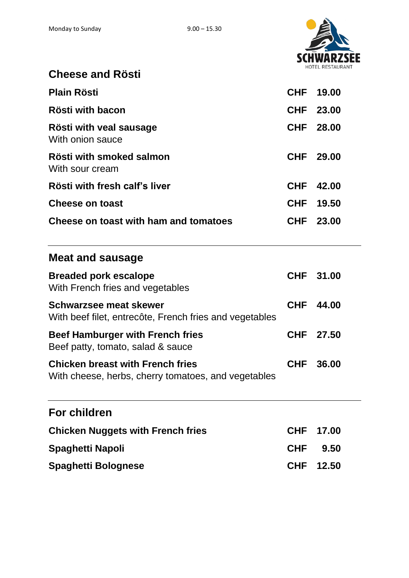

| <b>Cheese and Rösti</b> |  |
|-------------------------|--|
|                         |  |

| Plain Rösti                                 | <b>CHF 19.00</b> |
|---------------------------------------------|------------------|
| Rösti with bacon                            | CHF 23.00        |
| Rösti with veal sausage<br>With onion sauce | CHF 28.00        |
| Rösti with smoked salmon<br>With sour cream | CHF 29.00        |
| Rösti with fresh calf's liver               | CHF 42.00        |
| <b>Cheese on toast</b>                      | CHF 19.50        |
| Cheese on toast with ham and tomatoes       | CHF 23.00        |

## **Meat and sausage**

| <b>Breaded pork escalope</b><br>With French fries and vegetables                               | CHF 31.00 |
|------------------------------------------------------------------------------------------------|-----------|
| <b>Schwarzsee meat skewer</b><br>With beef filet, entrecôte, French fries and vegetables       | CHF 44.00 |
| <b>Beef Hamburger with French fries</b><br>Beef patty, tomato, salad & sauce                   | CHF 27.50 |
| <b>Chicken breast with French fries</b><br>With cheese, herbs, cherry tomatoes, and vegetables | CHF 36.00 |

## **For children**

| <b>Chicken Nuggets with French fries</b> | CHF 17.00 |
|------------------------------------------|-----------|
| Spaghetti Napoli                         | CHF 9.50  |
| Spaghetti Bolognese                      | CHF 12.50 |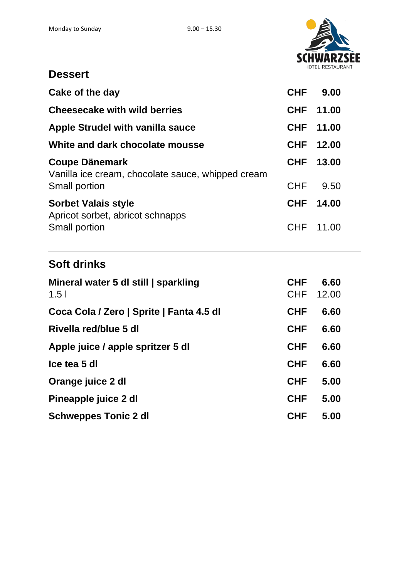

#### **Dessert**

| Cake of the day                                                                             | <b>CHF</b>               | 9.00          |
|---------------------------------------------------------------------------------------------|--------------------------|---------------|
| <b>Cheesecake with wild berries</b>                                                         | <b>CHF</b>               | 11.00         |
| Apple Strudel with vanilla sauce                                                            | <b>CHF</b>               | 11.00         |
| White and dark chocolate mousse                                                             | <b>CHF</b>               | 12.00         |
| <b>Coupe Dänemark</b><br>Vanilla ice cream, chocolate sauce, whipped cream<br>Small portion | <b>CHF</b><br><b>CHF</b> | 13.00<br>9.50 |
| <b>Sorbet Valais style</b><br>Apricot sorbet, abricot schnapps                              | <b>CHF</b>               | 14.00         |
| Small portion                                                                               | <b>CHF</b>               | 11.00         |

## **Soft drinks**

| Mineral water 5 dl still   sparkling<br>1.5 <sub>1</sub> | <b>CHF</b><br>CHF | 6.60<br>12.00 |
|----------------------------------------------------------|-------------------|---------------|
| Coca Cola / Zero   Sprite   Fanta 4.5 dl                 | <b>CHF</b>        | 6.60          |
| Rivella red/blue 5 dl                                    | <b>CHF</b>        | 6.60          |
| Apple juice / apple spritzer 5 dl                        | <b>CHF</b>        | 6.60          |
| Ice tea 5 dl                                             | <b>CHF</b>        | 6.60          |
| Orange juice 2 dl                                        | <b>CHF</b>        | 5.00          |
| Pineapple juice 2 dl                                     | <b>CHF</b>        | 5.00          |
| <b>Schweppes Tonic 2 dl</b>                              | <b>CHF</b>        | 5.00          |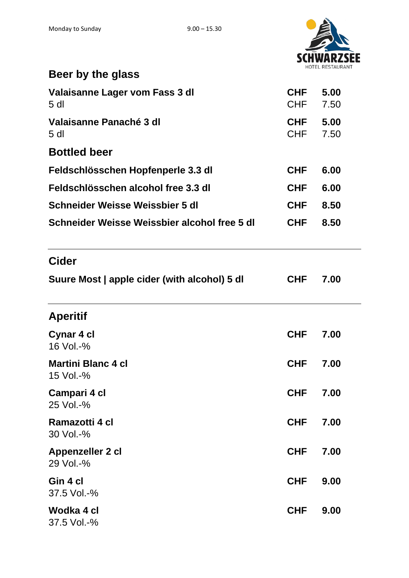$\mathbf{r}$ 



| Beer by the glass                                 |                   |              |
|---------------------------------------------------|-------------------|--------------|
| Valaisanne Lager vom Fass 3 dl<br>5 <sub>dl</sub> | CHF<br>CHF        | 5.00<br>7.50 |
| Valaisanne Panaché 3 dl<br>5 <sub>dl</sub>        | <b>CHF</b><br>CHF | 5.00<br>7.50 |
| <b>Bottled beer</b>                               |                   |              |
| Feldschlösschen Hopfenperle 3.3 dl                | <b>CHF</b>        | 6.00         |
| Feldschlösschen alcohol free 3.3 dl               | <b>CHF</b>        | 6.00         |
| Schneider Weisse Weissbier 5 dl                   | <b>CHF</b>        | 8.50         |
| Schneider Weisse Weissbier alcohol free 5 dl      | <b>CHF</b>        | 8.50         |
| <b>Cider</b>                                      |                   |              |
| Suure Most   apple cider (with alcohol) 5 dl      | <b>CHF</b>        | 7.00         |
| <b>Aperitif</b>                                   |                   |              |
| Cynar 4 cl<br>16 Vol.-%                           | <b>CHF</b>        | 7.00         |
| <b>Martini Blanc 4 cl</b><br>15 Vol.-%            | <b>CHF</b>        | 7.00         |
| Campari 4 cl<br>25 Vol.-%                         | <b>CHF</b>        | 7.00         |
| Ramazotti 4 cl<br>30 Vol.-%                       | <b>CHF</b>        | 7.00         |
| Appenzeller 2 cl<br>29 Vol.-%                     | <b>CHF</b>        | 7.00         |
| Gin 4 cl<br>37.5 Vol.-%                           | <b>CHF</b>        | 9.00         |
| Wodka 4 cl<br>37.5 Vol.-%                         | <b>CHF</b>        | 9.00         |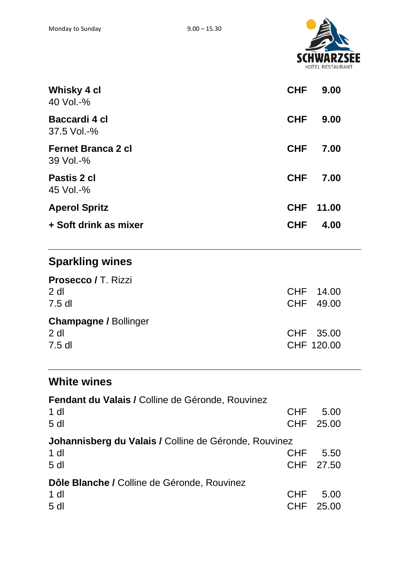

| <b>Whisky 4 cl</b><br>40 Vol. $-$ %    | <b>CHF</b> | 9.00  |
|----------------------------------------|------------|-------|
| Baccardi 4 cl<br>37.5 Vol.-%           | <b>CHF</b> | 9.00  |
| <b>Fernet Branca 2 cl</b><br>39 Vol.-% | <b>CHF</b> | 7.00  |
| Pastis 2 cl<br>45 Vol. $-$ %           | <b>CHF</b> | 7.00  |
| <b>Aperol Spritz</b>                   | <b>CHF</b> | 11.00 |
| + Soft drink as mixer                  | <b>CHF</b> | 4.00  |

# **Sparkling wines**

| <b>Prosecco / T. Rizzi</b>   |            |  |
|------------------------------|------------|--|
| $2$ dl                       | CHF 14.00  |  |
| $7.5$ dl                     | CHF 49.00  |  |
| <b>Champagne / Bollinger</b> |            |  |
| $2$ dl                       | CHF 35.00  |  |
| $7.5$ dl                     | CHF 120.00 |  |

## **White wines**

| Fendant du Valais / Colline de Géronde, Rouvinez      |            |           |
|-------------------------------------------------------|------------|-----------|
| 1 dl                                                  | <b>CHF</b> | 5.00      |
| 5 <sub>dl</sub>                                       |            | CHF 25.00 |
| Johannisberg du Valais / Colline de Géronde, Rouvinez |            |           |
| $1$ dl                                                | <b>CHF</b> | 5.50      |
| 5 <sub>d</sub>                                        |            | CHF 27.50 |
| Dôle Blanche / Colline de Géronde, Rouvinez           |            |           |
| $1$ dl                                                | <b>CHF</b> | 5.00      |
| 5 <sub>dl</sub>                                       | CHF        | 25.00     |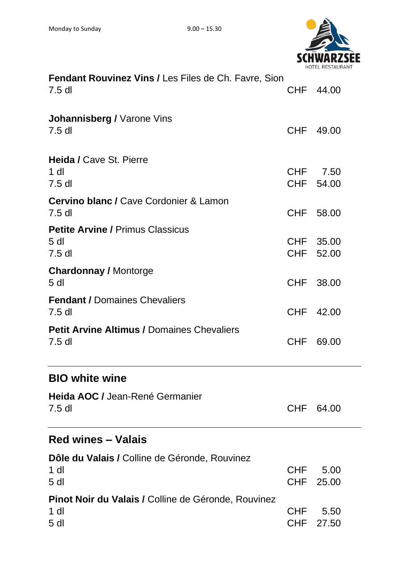

| <b>Fendant Rouvinez Vins / Les Files de Ch. Favre, Sion</b><br>$7.5$ dl                 |                   | CHF 44.00             |
|-----------------------------------------------------------------------------------------|-------------------|-----------------------|
| <b>Johannisberg / Varone Vins</b><br>$7.5$ dl                                           | <b>CHF</b>        | 49.00                 |
| <b>Heida / Cave St. Pierre</b><br>$1$ dl<br>$7.5$ dl                                    |                   | CHF 7.50<br>CHF 54.00 |
| <b>Cervino blanc / Cave Cordonier &amp; Lamon</b><br>$7.5$ dl                           | CHF               | 58.00                 |
| <b>Petite Arvine / Primus Classicus</b><br>5 <sub>d</sub><br>$7.5$ dl                   | CHF               | 35.00<br>CHF 52.00    |
| <b>Chardonnay / Montorge</b><br>5 <sub>dl</sub>                                         | <b>CHF</b>        | 38.00                 |
| <b>Fendant / Domaines Chevaliers</b><br>$7.5$ dl                                        | CHF               | 42.00                 |
| <b>Petit Arvine Altimus / Domaines Chevaliers</b><br>$7.5$ dl                           | <b>CHF</b>        | 69.00                 |
| <b>BIO white wine</b>                                                                   |                   |                       |
| Heida AOC / Jean-René Germanier<br>$7.5$ dl                                             | <b>CHF</b>        | 64.00                 |
| <b>Red wines – Valais</b>                                                               |                   |                       |
| Dôle du Valais / Colline de Géronde, Rouvinez<br>$1$ dl<br>5 <sub>dl</sub>              | <b>CHF</b>        | 5.00<br>CHF 25.00     |
| <b>Pinot Noir du Valais / Colline de Géronde, Rouvinez</b><br>$1$ dl<br>5 <sub>dl</sub> | <b>CHF</b><br>CHF | 5.50<br>27.50         |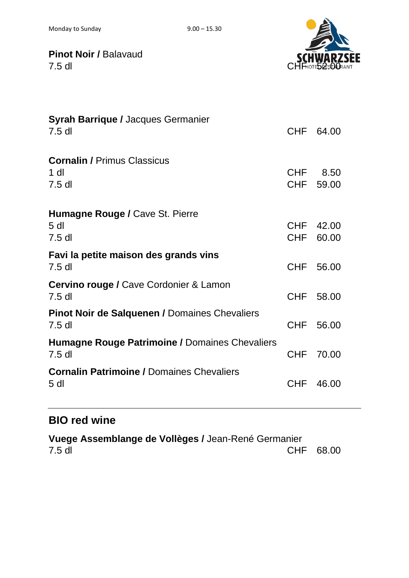

**Pinot Noir / Balavaud SUMWARZSE**<br>7.5 dl

| <b>Syrah Barrique / Jacques Germanier</b><br>$7.5$ dl                 |                          | CHF 64.00         |
|-----------------------------------------------------------------------|--------------------------|-------------------|
| <b>Cornalin / Primus Classicus</b><br>$1$ dl<br>$7.5$ dl              | <b>CHF</b>               | 8.50<br>CHF 59.00 |
| <b>Humagne Rouge / Cave St. Pierre</b><br>5 <sub>dl</sub><br>$7.5$ dl | <b>CHF</b><br><b>CHF</b> | 42.00<br>60.00    |
| Favi la petite maison des grands vins<br>$7.5$ dl                     | <b>CHF</b>               | 56.00             |
| <b>Cervino rouge / Cave Cordonier &amp; Lamon</b><br>$7.5$ dl         | CHF                      | 58.00             |
| <b>Pinot Noir de Salquenen / Domaines Chevaliers</b><br>$7.5$ dl      | <b>CHF</b>               | 56.00             |
| <b>Humagne Rouge Patrimoine / Domaines Chevaliers</b><br>$7.5$ dl     | <b>CHF</b>               | 70.00             |
| <b>Cornalin Patrimoine / Domaines Chevaliers</b><br>5 <sub>dl</sub>   | <b>CHF</b>               | 46.00             |

## **BIO red wine**

**Vuege Assemblange de Vollèges /** Jean-René Germanier 7.5 dl CHF 68.00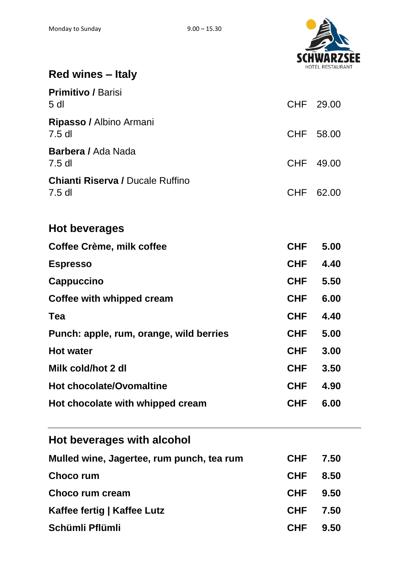

# **Red wines – Italy**

| <b>Primitivo / Barisi</b><br>5 <sub>dl</sub>        |            | CHF 29.00 |  |
|-----------------------------------------------------|------------|-----------|--|
| Ripasso / Albino Armani<br>$7.5$ dl                 | CHF        | 58.00     |  |
| <b>Barbera / Ada Nada</b><br>$7.5$ dl               | CHF        | 49.00     |  |
| <b>Chianti Riserva / Ducale Ruffino</b><br>$7.5$ dl | <b>CHF</b> | 62.00     |  |
| <b>Hot beverages</b>                                |            |           |  |
| Coffee Crème, milk coffee                           | <b>CHF</b> | 5.00      |  |
| <b>Espresso</b>                                     | <b>CHF</b> | 4.40      |  |
| <b>Cappuccino</b>                                   | <b>CHF</b> | 5.50      |  |
| Coffee with whipped cream                           | <b>CHF</b> | 6.00      |  |
| Tea                                                 | <b>CHF</b> | 4.40      |  |
| Punch: apple, rum, orange, wild berries             | CHF        | 5.00      |  |
| <b>Hot water</b>                                    | <b>CHF</b> | 3.00      |  |
| Milk cold/hot 2 dl                                  | <b>CHF</b> | 3.50      |  |
| <b>Hot chocolate/Ovomaltine</b>                     | <b>CHF</b> | 4.90      |  |
| Hot chocolate with whipped cream                    | <b>CHF</b> | 6.00      |  |
| Hot beverages with alcohol                          |            |           |  |
| Mulled wine, Jagertee, rum punch, tea rum           | <b>CHF</b> | 7.50      |  |
| <b>Choco rum</b>                                    | <b>CHF</b> | 8.50      |  |
| Choco rum cream                                     | CHF        | 9.50      |  |
| Kaffee fertig   Kaffee Lutz                         | <b>CHF</b> | 7.50      |  |
| Schümli Pflümli                                     | <b>CHF</b> | 9.50      |  |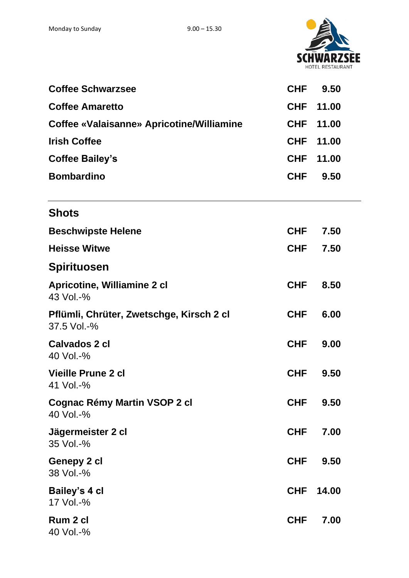

| <b>Coffee Schwarzsee</b>                                | <b>CHF</b> | 9.50  |  |
|---------------------------------------------------------|------------|-------|--|
| <b>Coffee Amaretto</b>                                  | <b>CHF</b> | 11.00 |  |
| <b>Coffee «Valaisanne» Apricotine/Williamine</b>        | <b>CHF</b> | 11.00 |  |
| <b>Irish Coffee</b>                                     | <b>CHF</b> | 11.00 |  |
| <b>Coffee Bailey's</b>                                  | <b>CHF</b> | 11.00 |  |
| <b>Bombardino</b>                                       | <b>CHF</b> | 9.50  |  |
| <b>Shots</b>                                            |            |       |  |
| <b>Beschwipste Helene</b>                               | <b>CHF</b> | 7.50  |  |
| <b>Heisse Witwe</b>                                     | <b>CHF</b> | 7.50  |  |
| <b>Spirituosen</b>                                      |            |       |  |
| <b>Apricotine, Williamine 2 cl</b><br>43 Vol.-%         | <b>CHF</b> | 8.50  |  |
| Pflümli, Chrüter, Zwetschge, Kirsch 2 cl<br>37.5 Vol.-% | <b>CHF</b> | 6.00  |  |
| <b>Calvados 2 cl</b><br>40 Vol.-%                       | <b>CHF</b> | 9.00  |  |
| Vieille Prune 2 cl<br>41 Vol.-%                         | <b>CHF</b> | 9.50  |  |
| <b>Cognac Rémy Martin VSOP 2 cl</b><br>40 Vol.-%        | <b>CHF</b> | 9.50  |  |
| Jägermeister 2 cl<br>35 Vol.-%                          | <b>CHF</b> | 7.00  |  |
| Genepy 2 cl<br>38 Vol.-%                                | <b>CHF</b> | 9.50  |  |
| Bailey's 4 cl<br>17 Vol.-%                              | <b>CHF</b> | 14.00 |  |
| Rum 2 cl<br>40 Vol.-%                                   | <b>CHF</b> | 7.00  |  |